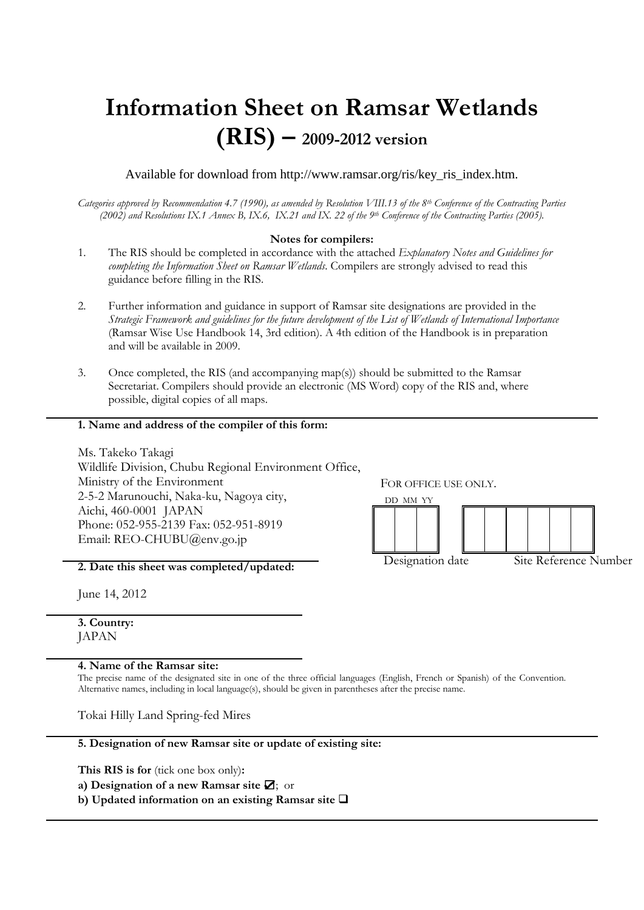# **Information Sheet on Ramsar Wetlands (RIS) – 2009-2012 version**

Available for download from http://www.ramsar.org/ris/key\_ris\_index.htm.

*Categories approved by Recommendation 4.7 (1990), as amended by Resolution VIII.13 of the 8th Conference of the Contracting Parties (2002) and Resolutions IX.1 Annex B, IX.6, IX.21 and IX. 22 of the 9th Conference of the Contracting Parties (2005).*

## **Notes for compilers:**

- 1. The RIS should be completed in accordance with the attached *Explanatory Notes and Guidelines for completing the Information Sheet on Ramsar Wetlands*. Compilers are strongly advised to read this guidance before filling in the RIS.
- 2. Further information and guidance in support of Ramsar site designations are provided in the *Strategic Framework and guidelines for the future development of the List of Wetlands of International Importance*  (Ramsar Wise Use Handbook 14, 3rd edition). A 4th edition of the Handbook is in preparation and will be available in 2009.
- 3. Once completed, the RIS (and accompanying map(s)) should be submitted to the Ramsar Secretariat. Compilers should provide an electronic (MS Word) copy of the RIS and, where possible, digital copies of all maps.

## **1. Name and address of the compiler of this form:**

Ms. Takeko Takagi Wildlife Division, Chubu Regional Environment Office, Ministry of the Environment 2-5-2 Marunouchi, Naka-ku, Nagoya city, Aichi, 460-0001 JAPAN Phone: 052-955-2139 Fax: 052-951-8919 Email: REO-CHUBU@env.go.jp

**2. Date this sheet was completed/updated:**

June 14, 2012

**3. Country:** JAPAN

**4. Name of the Ramsar site:** 

The precise name of the designated site in one of the three official languages (English, French or Spanish) of the Convention. Alternative names, including in local language(s), should be given in parentheses after the precise name.

Tokai Hilly Land Spring-fed Mires

**5. Designation of new Ramsar site or update of existing site:** 

**This RIS is for** (tick one box only)**:**

**a) Designation of a new Ramsar site** ☑; or

**b) Updated information on an existing Ramsar site** 

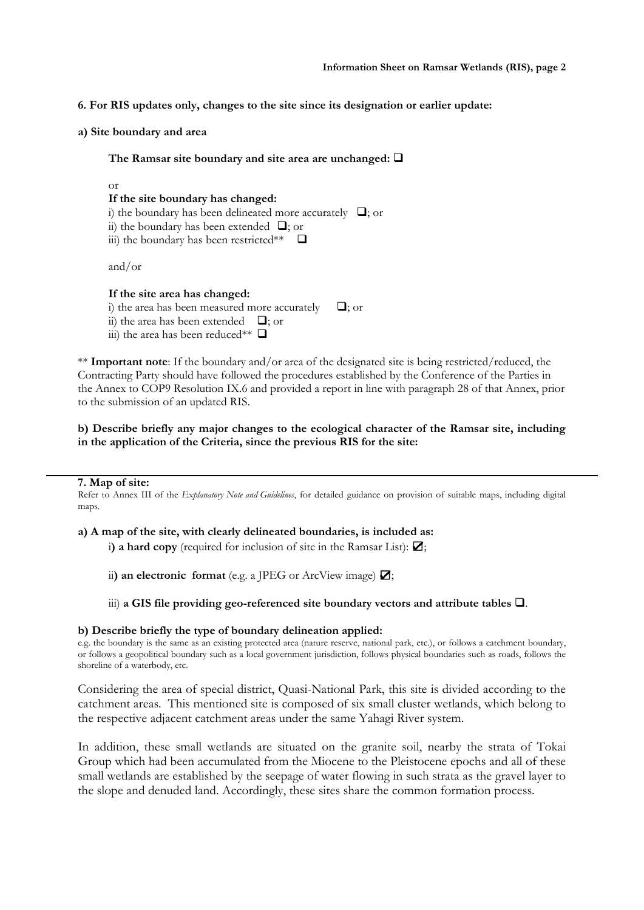- **6. For RIS updates only, changes to the site since its designation or earlier update:**
- **a) Site boundary and area**

**The Ramsar site boundary and site area are unchanged:** 

#### or

# **If the site boundary has changed:**

- i) the boundary has been delineated more accurately  $\Box$ ; or
- ii) the boundary has been extended  $\Box$ ; or
- iii) the boundary has been restricted\*\*  $\Box$

and/or

#### **If the site area has changed:**

i) the area has been measured more accurately  $\Box$ ; or

ii) the area has been extended  $\Box$ ; or

iii) the area has been reduced\*\*  $\Box$ 

\*\* **Important note**: If the boundary and/or area of the designated site is being restricted/reduced, the Contracting Party should have followed the procedures established by the Conference of the Parties in the Annex to COP9 Resolution IX.6 and provided a report in line with paragraph 28 of that Annex, prior to the submission of an updated RIS.

**b) Describe briefly any major changes to the ecological character of the Ramsar site, including in the application of the Criteria, since the previous RIS for the site:**

#### **7. Map of site:**

Refer to Annex III of the *Explanatory Note and Guidelines*, for detailed guidance on provision of suitable maps, including digital maps.

## **a) A map of the site, with clearly delineated boundaries, is included as:**

i) a hard copy (required for inclusion of site in the Ramsar List):  $\Box$ ;

ii) an electronic format (e.g. a JPEG or ArcView image) **☑**;

iii) a GIS file providing geo-referenced site boundary vectors and attribute tables  $\Box$ .

#### **b) Describe briefly the type of boundary delineation applied:**

e.g. the boundary is the same as an existing protected area (nature reserve, national park, etc.), or follows a catchment boundary, or follows a geopolitical boundary such as a local government jurisdiction, follows physical boundaries such as roads, follows the shoreline of a waterbody, etc.

Considering the area of special district, Quasi-National Park, this site is divided according to the catchment areas. This mentioned site is composed of six small cluster wetlands, which belong to the respective adjacent catchment areas under the same Yahagi River system.

In addition, these small wetlands are situated on the granite soil, nearby the strata of Tokai Group which had been accumulated from the Miocene to the Pleistocene epochs and all of these small wetlands are established by the seepage of water flowing in such strata as the gravel layer to the slope and denuded land. Accordingly, these sites share the common formation process.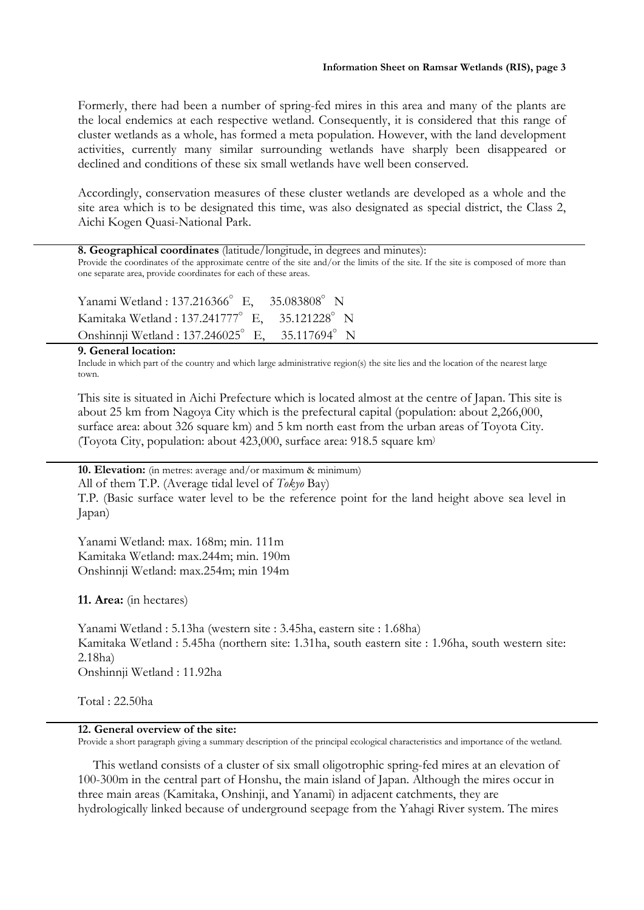Formerly, there had been a number of spring-fed mires in this area and many of the plants are the local endemics at each respective wetland. Consequently, it is considered that this range of cluster wetlands as a whole, has formed a meta population. However, with the land development activities, currently many similar surrounding wetlands have sharply been disappeared or declined and conditions of these six small wetlands have well been conserved.

Accordingly, conservation measures of these cluster wetlands are developed as a whole and the site area which is to be designated this time, was also designated as special district, the Class 2, Aichi Kogen Quasi-National Park.

| 8. Geographical coordinates (latitude/longitude, in degrees and minutes): |  |  |  |  |  |
|---------------------------------------------------------------------------|--|--|--|--|--|
|---------------------------------------------------------------------------|--|--|--|--|--|

Provide the coordinates of the approximate centre of the site and/or the limits of the site. If the site is composed of more than one separate area, provide coordinates for each of these areas.

Yanami Wetland : 137.216366°E, 35.083808°N Kamitaka Wetland : 137.241777°E, 35.121228°N Onshinnji Wetland : 137.246025°E, 35.117694°N

#### **9. General location:**

Include in which part of the country and which large administrative region(s) the site lies and the location of the nearest large town.

This site is situated in Aichi Prefecture which is located almost at the centre of Japan. This site is about 25 km from Nagoya City which is the prefectural capital (population: about 2,266,000, surface area: about 326 square km) and 5 km north east from the urban areas of Toyota City. (Toyota City, population: about 423,000, surface area: 918.5 square km)

**10. Elevation:** (in metres: average and/or maximum & minimum)

All of them T.P. (Average tidal level of *Tokyo* Bay)

T.P. (Basic surface water level to be the reference point for the land height above sea level in Japan)

Yanami Wetland: max. 168m; min. 111m Kamitaka Wetland: max.244m; min. 190m Onshinnji Wetland: max.254m; min 194m

#### **11. Area:** (in hectares)

Yanami Wetland : 5.13ha (western site : 3.45ha, eastern site : 1.68ha) Kamitaka Wetland : 5.45ha (northern site: 1.31ha, south eastern site : 1.96ha, south western site: 2.18ha) Onshinnji Wetland : 11.92ha

Total : 22.50ha

## **12. General overview of the site:**

Provide a short paragraph giving a summary description of the principal ecological characteristics and importance of the wetland.

This wetland consists of a cluster of six small oligotrophic spring-fed mires at an elevation of 100-300m in the central part of Honshu, the main island of Japan. Although the mires occur in three main areas (Kamitaka, Onshinji, and Yanami) in adjacent catchments, they are hydrologically linked because of underground seepage from the Yahagi River system. The mires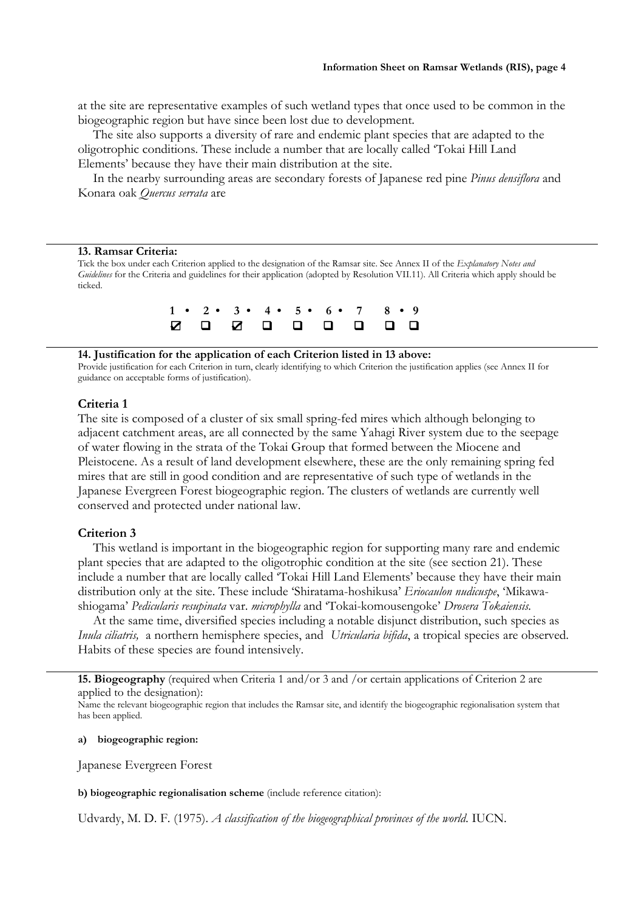at the site are representative examples of such wetland types that once used to be common in the biogeographic region but have since been lost due to development.

The site also supports a diversity of rare and endemic plant species that are adapted to the oligotrophic conditions. These include a number that are locally called 'Tokai Hill Land Elements' because they have their main distribution at the site.

In the nearby surrounding areas are secondary forests of Japanese red pine *Pinus densiflora* and Konara oak *Quercus serrata* are

#### **13. Ramsar Criteria:**

Tick the box under each Criterion applied to the designation of the Ramsar site. See Annex II of the *Explanatory Notes and Guidelines* for the Criteria and guidelines for their application (adopted by Resolution VII.11). All Criteria which apply should be ticked.

|  |  | $1 \cdot 2 \cdot 3 \cdot 4 \cdot 5 \cdot 6 \cdot 7 \cdot 8 \cdot 9$ |  |  |
|--|--|---------------------------------------------------------------------|--|--|
|  |  | 0 0 0 0 0 0 0 0                                                     |  |  |

#### **14. Justification for the application of each Criterion listed in 13 above:**

Provide justification for each Criterion in turn, clearly identifying to which Criterion the justification applies (see Annex II for guidance on acceptable forms of justification).

#### **Criteria 1**

The site is composed of a cluster of six small spring-fed mires which although belonging to adjacent catchment areas, are all connected by the same Yahagi River system due to the seepage of water flowing in the strata of the Tokai Group that formed between the Miocene and Pleistocene. As a result of land development elsewhere, these are the only remaining spring fed mires that are still in good condition and are representative of such type of wetlands in the Japanese Evergreen Forest biogeographic region. The clusters of wetlands are currently well conserved and protected under national law.

#### **Criterion 3**

This wetland is important in the biogeographic region for supporting many rare and endemic plant species that are adapted to the oligotrophic condition at the site (see section 21). These include a number that are locally called 'Tokai Hill Land Elements' because they have their main distribution only at the site. These include 'Shiratama-hoshikusa' *Eriocaulon nudicuspe*, 'Mikawashiogama' *Pedicularis resupinata* var. *microphylla* and 'Tokai-komousengoke' *Drosera Tokaiensis.*

At the same time, diversified species including a notable disjunct distribution, such species as *Inula ciliatris,* a northern hemisphere species, and *Utricularia bifida*, a tropical species are observed. Habits of these species are found intensively.

**15. Biogeography** (required when Criteria 1 and/or 3 and /or certain applications of Criterion 2 are applied to the designation):

Name the relevant biogeographic region that includes the Ramsar site, and identify the biogeographic regionalisation system that has been applied.

**a) biogeographic region:**

Japanese Evergreen Forest

**b) biogeographic regionalisation scheme** (include reference citation):

Udvardy, M. D. F. (1975). *A classification of the biogeographical provinces of the world*. IUCN.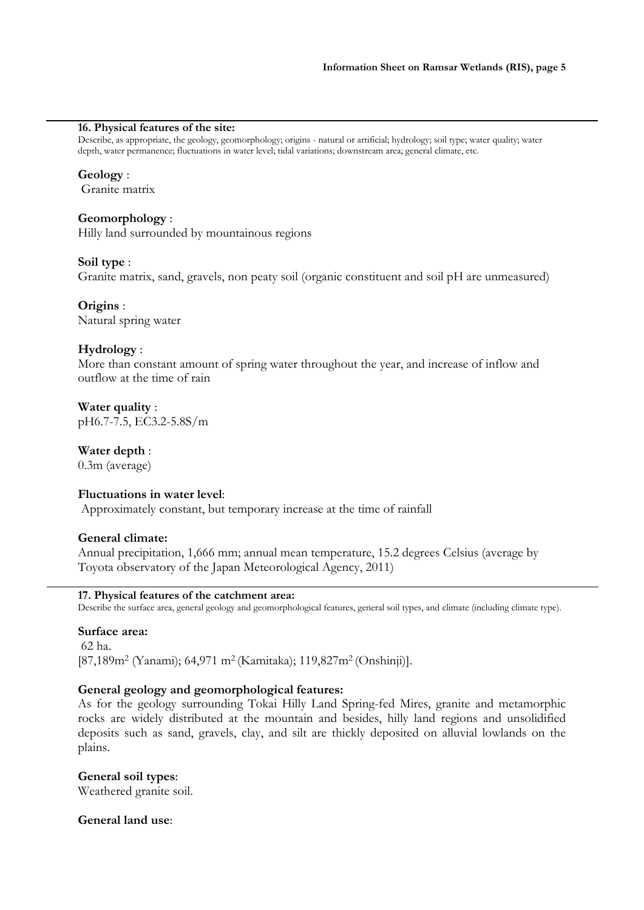## **16. Physical features of the site:**

Describe, as appropriate, the geology, geomorphology; origins - natural or artificial; hydrology; soil type; water quality; water depth, water permanence; fluctuations in water level; tidal variations; downstream area; general climate, etc.

## **Geology** :

Granite matrix

# **Geomorphology** :

Hilly land surrounded by mountainous regions

# **Soil type** :

Granite matrix, sand, gravels, non peaty soil (organic constituent and soil pH are unmeasured)

# **Origins** :

Natural spring water

# **Hydrology** :

More than constant amount of spring water throughout the year, and increase of inflow and outflow at the time of rain

**Water quality** : pH6.7-7.5, EC3.2-5.8S/m

**Water depth** : 0.3m (average)

# **Fluctuations in water level**:

Approximately constant, but temporary increase at the time of rainfall

# **General climate:**

Annual precipitation, 1,666 mm; annual mean temperature, 15.2 degrees Celsius (average by Toyota observatory of the Japan Meteorological Agency, 2011)

# **17. Physical features of the catchment area:**

Describe the surface area, general geology and geomorphological features, general soil types, and climate (including climate type).

# **Surface area:**

62 ha. [87,189m2 (Yanami); 64,971 m2 (Kamitaka); 119,827m2 (Onshinji)].

# **General geology and geomorphological features:**

As for the geology surrounding Tokai Hilly Land Spring-fed Mires, granite and metamorphic rocks are widely distributed at the mountain and besides, hilly land regions and unsolidified deposits such as sand, gravels, clay, and silt are thickly deposited on alluvial lowlands on the plains.

# **General soil types**:

Weathered granite soil.

# **General land use**: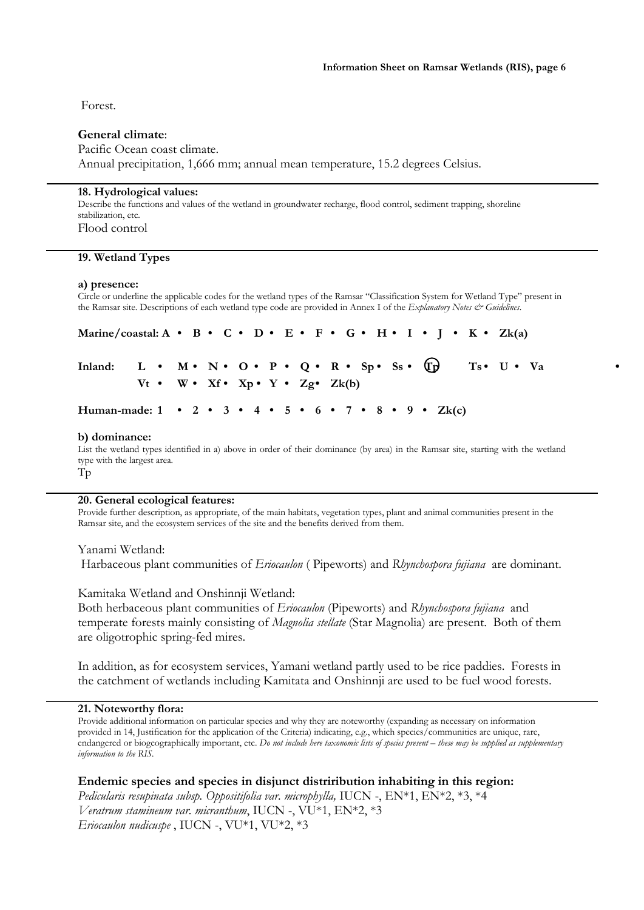Forest.

# **General climate**:

## Pacific Ocean coast climate.

Annual precipitation, 1,666 mm; annual mean temperature, 15.2 degrees Celsius.

#### **18. Hydrological values:**

Describe the functions and values of the wetland in groundwater recharge, flood control, sediment trapping, shoreline stabilization, etc. Flood control

#### **19. Wetland Types**

#### **a) presence:**

Circle or underline the applicable codes for the wetland types of the Ramsar "Classification System for Wetland Type" present in the Ramsar site. Descriptions of each wetland type code are provided in Annex I of the *Explanatory Notes & Guidelines*.

| Marine/coastal: A • B • C • D • E • F • G • H • I • J • K • Zk(a)                           |                                                             |  |  |  |  |  |  |  |  |  |  |  |  |  |           |
|---------------------------------------------------------------------------------------------|-------------------------------------------------------------|--|--|--|--|--|--|--|--|--|--|--|--|--|-----------|
| Inland: L • M • N • O • P • Q • R • Sp • Ss • $\overline{tp}$ Ts • U • Va                   |                                                             |  |  |  |  |  |  |  |  |  |  |  |  |  | $\bullet$ |
|                                                                                             | $Vt \cdot W \cdot Xf \cdot Xp \cdot Y \cdot Zg \cdot Zk(b)$ |  |  |  |  |  |  |  |  |  |  |  |  |  |           |
| Human-made: $1 \cdot 2 \cdot 3 \cdot 4 \cdot 5 \cdot 6 \cdot 7 \cdot 8 \cdot 9 \cdot Zk(c)$ |                                                             |  |  |  |  |  |  |  |  |  |  |  |  |  |           |

#### **b) dominance:**

List the wetland types identified in a) above in order of their dominance (by area) in the Ramsar site, starting with the wetland type with the largest area. Tp

#### **20. General ecological features:**

Provide further description, as appropriate, of the main habitats, vegetation types, plant and animal communities present in the Ramsar site, and the ecosystem services of the site and the benefits derived from them.

Yanami Wetland: Harbaceous plant communities of *Eriocaulon* ( Pipeworts) and *Rhynchospora fujiana* are dominant.

Kamitaka Wetland and Onshinnji Wetland:

Both herbaceous plant communities of *Eriocaulon* (Pipeworts) and *Rhynchospora fujiana* and temperate forests mainly consisting of *Magnolia stellate* (Star Magnolia) are present. Both of them are oligotrophic spring-fed mires.

In addition, as for ecosystem services, Yamani wetland partly used to be rice paddies. Forests in the catchment of wetlands including Kamitata and Onshinnji are used to be fuel wood forests.

#### **21. Noteworthy flora:**

Provide additional information on particular species and why they are noteworthy (expanding as necessary on information provided in 14, Justification for the application of the Criteria) indicating, e.g., which species/communities are unique, rare, endangered or biogeographically important, etc. *Do not include here taxonomic lists of species present – these may be supplied as supplementary information to the RIS.*

**Endemic species and species in disjunct distriribution inhabiting in this region:**

*Pedicularis resupinata subsp. Oppositifolia var. microphylla,* IUCN -, EN\*1, EN\*2, \*3, \*4 *Veratrum stamineum var. micranthum*, IUCN -, VU\*1, EN\*2, \*3 *Eriocaulon nudicuspe* , IUCN -, VU\*1, VU\*2, \*3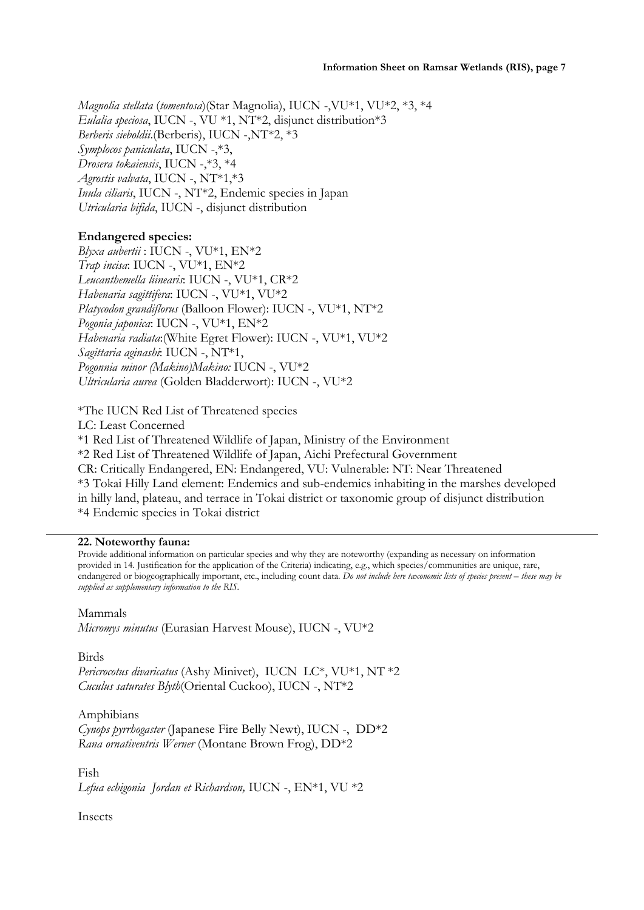*Magnolia stellata* (*tomentosa*)(Star Magnolia), IUCN -,VU\*1, VU\*2, \*3, \*4 *Eulalia speciosa*, IUCN -, VU \*1, NT\*2, disjunct distribution\*3 *Berberis sieboldii*.(Berberis), IUCN -,NT\*2, \*3 *Symplocos paniculata*, IUCN -,\*3, *Drosera tokaiensis*, IUCN -,\*3, \*4 *Agrostis valvata*, IUCN -, NT\*1,\*3 *Inula ciliaris*, IUCN -, NT\*2, Endemic species in Japan *Utricularia bifida*, IUCN -, disjunct distribution

# **Endangered species:**

*Blyxa aubertii* : IUCN -, VU\*1, EN\*2 *Trap incisa*: IUCN -, VU\*1, EN\*2 *Leucanthemella liinearis*: IUCN -, VU\*1, CR\*2 *Habenaria sagittifera*: IUCN -, VU\*1, VU\*2 *Platycodon grandiflorus* (Balloon Flower): IUCN -, VU\*1, NT\*2 *Pogonia japonica*: IUCN -, VU\*1, EN\*2 *Habenaria radiata*:(White Egret Flower): IUCN -, VU\*1, VU\*2 *Sagittaria aginashi*: IUCN -, NT\*1, *Pogonnia minor (Makino)Makino:* IUCN -, VU\*2 *Ultricularia aurea* (Golden Bladderwort): IUCN -, VU\*2

\*The IUCN Red List of Threatened species LC: Least Concerned \*1 Red List of Threatened Wildlife of Japan, Ministry of the Environment \*2 Red List of Threatened Wildlife of Japan, Aichi Prefectural Government CR: Critically Endangered, EN: Endangered, VU: Vulnerable: NT: Near Threatened \*3 Tokai Hilly Land element: Endemics and sub-endemics inhabiting in the marshes developed in hilly land, plateau, and terrace in Tokai district or taxonomic group of disjunct distribution \*4 Endemic species in Tokai district

# **22. Noteworthy fauna:**

Provide additional information on particular species and why they are noteworthy (expanding as necessary on information provided in 14. Justification for the application of the Criteria) indicating, e.g., which species/communities are unique, rare, endangered or biogeographically important, etc., including count data. *Do not include here taxonomic lists of species present – these may be supplied as supplementary information to the RIS.*

# Mammals

*Micromys minutus* (Eurasian Harvest Mouse), IUCN -, VU\*2

Birds

*Pericrocotus divaricatus* (Ashy Minivet), IUCN LC\*, VU\*1, NT \*2 *Cuculus saturates Blyth*(Oriental Cuckoo), IUCN -, NT\*2

Amphibians *Cynops pyrrhogaster* (Japanese Fire Belly Newt), IUCN -, DD\*2 *Rana ornativentris Werner* (Montane Brown Frog), DD\*2

Fish *Lefua echigonia Jordan et Richardson,* IUCN -, EN\*1, VU \*2

Insects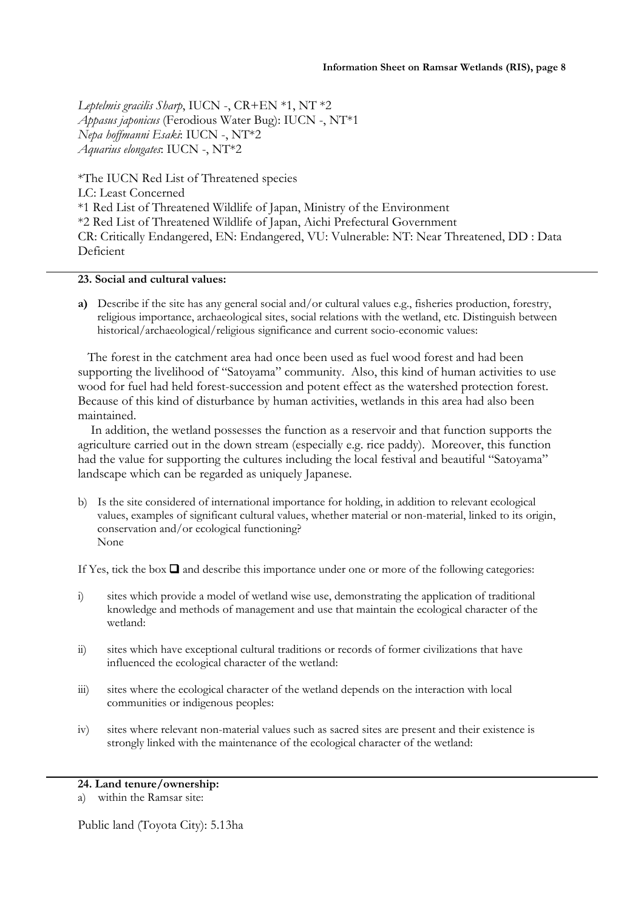*Leptelmis gracilis Sharp*, IUCN -, CR+EN \*1, NT \*2 *Appasus japonicus* (Ferodious Water Bug): IUCN -, NT\*1 *Nepa hoffmanni Esaki*: IUCN -, NT\*2 *Aquarius elongates*: IUCN -, NT\*2

\*The IUCN Red List of Threatened species LC: Least Concerned \*1 Red List of Threatened Wildlife of Japan, Ministry of the Environment \*2 Red List of Threatened Wildlife of Japan, Aichi Prefectural Government CR: Critically Endangered, EN: Endangered, VU: Vulnerable: NT: Near Threatened, DD : Data Deficient

# **23. Social and cultural values:**

**a)** Describe if the site has any general social and/or cultural values e.g., fisheries production, forestry, religious importance, archaeological sites, social relations with the wetland, etc. Distinguish between historical/archaeological/religious significance and current socio-economic values:

 The forest in the catchment area had once been used as fuel wood forest and had been supporting the livelihood of "Satoyama" community. Also, this kind of human activities to use wood for fuel had held forest-succession and potent effect as the watershed protection forest. Because of this kind of disturbance by human activities, wetlands in this area had also been maintained.

 In addition, the wetland possesses the function as a reservoir and that function supports the agriculture carried out in the down stream (especially e.g. rice paddy). Moreover, this function had the value for supporting the cultures including the local festival and beautiful "Satoyama" landscape which can be regarded as uniquely Japanese.

b) Is the site considered of international importance for holding, in addition to relevant ecological values, examples of significant cultural values, whether material or non-material, linked to its origin, conservation and/or ecological functioning? None

If Yes, tick the box  $\Box$  and describe this importance under one or more of the following categories:

- i) sites which provide a model of wetland wise use, demonstrating the application of traditional knowledge and methods of management and use that maintain the ecological character of the wetland:
- ii) sites which have exceptional cultural traditions or records of former civilizations that have influenced the ecological character of the wetland:
- iii) sites where the ecological character of the wetland depends on the interaction with local communities or indigenous peoples:
- iv) sites where relevant non-material values such as sacred sites are present and their existence is strongly linked with the maintenance of the ecological character of the wetland:

# **24. Land tenure/ownership:**

Public land (Toyota City): 5.13ha

a) within the Ramsar site: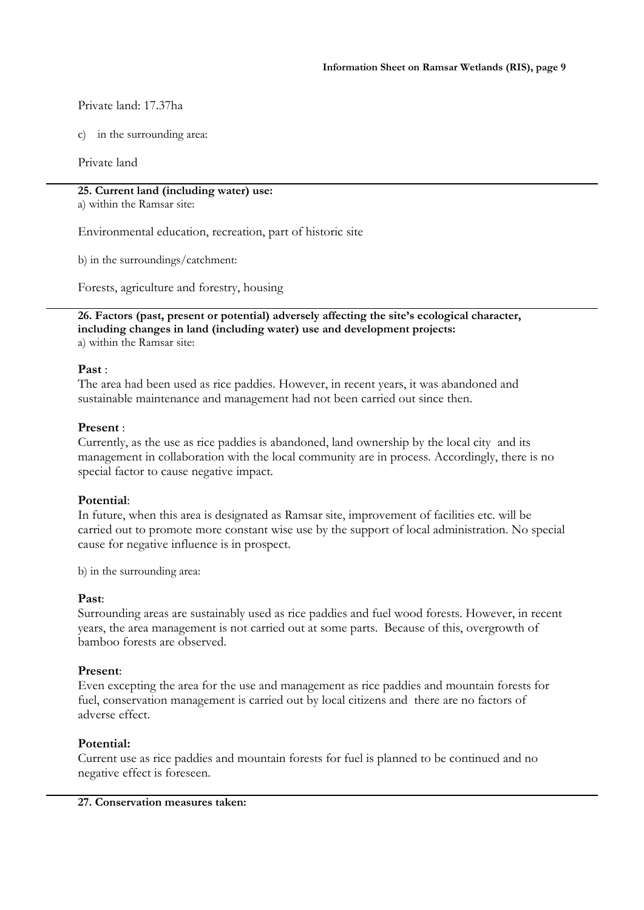Private land: 17.37ha

c) in the surrounding area:

Private land

# **25. Current land (including water) use:**

a) within the Ramsar site:

Environmental education, recreation, part of historic site

b) in the surroundings/catchment:

Forests, agriculture and forestry, housing

**26. Factors (past, present or potential) adversely affecting the site's ecological character, including changes in land (including water) use and development projects:** a) within the Ramsar site:

# **Past** :

The area had been used as rice paddies. However, in recent years, it was abandoned and sustainable maintenance and management had not been carried out since then.

# **Present** :

Currently, as the use as rice paddies is abandoned, land ownership by the local city and its management in collaboration with the local community are in process. Accordingly, there is no special factor to cause negative impact.

# **Potential**:

In future, when this area is designated as Ramsar site, improvement of facilities etc. will be carried out to promote more constant wise use by the support of local administration. No special cause for negative influence is in prospect.

b) in the surrounding area:

# **Past**:

Surrounding areas are sustainably used as rice paddies and fuel wood forests. However, in recent years, the area management is not carried out at some parts. Because of this, overgrowth of bamboo forests are observed.

# **Present**:

Even excepting the area for the use and management as rice paddies and mountain forests for fuel, conservation management is carried out by local citizens and there are no factors of adverse effect.

# **Potential:**

Current use as rice paddies and mountain forests for fuel is planned to be continued and no negative effect is foreseen.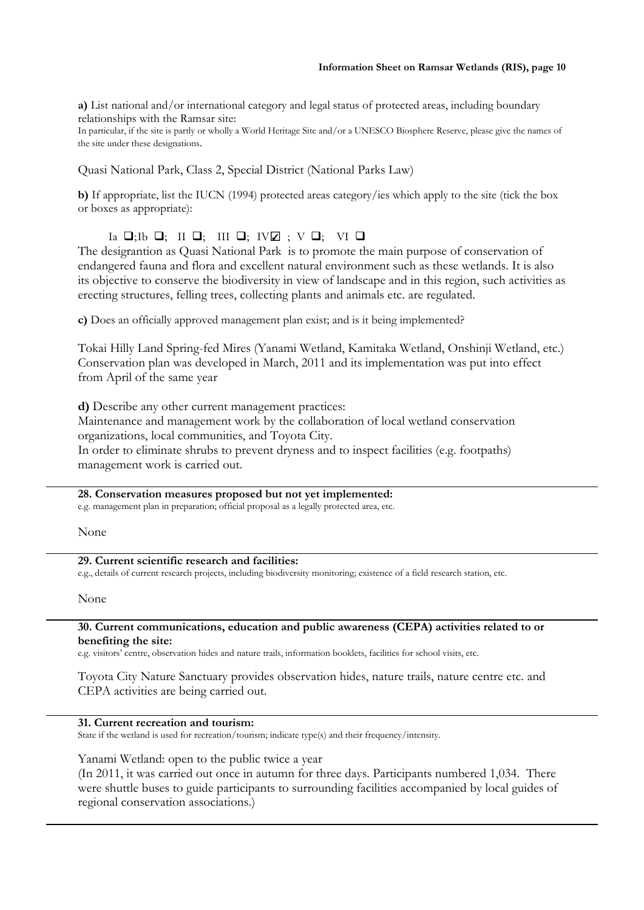**a)** List national and/or international category and legal status of protected areas, including boundary relationships with the Ramsar site:

In particular, if the site is partly or wholly a World Heritage Site and/or a UNESCO Biosphere Reserve, please give the names of the site under these designations.

Quasi National Park, Class 2, Special District (National Parks Law)

**b)** If appropriate, list the IUCN (1994) protected areas category/ies which apply to the site (tick the box or boxes as appropriate):

# Ia  $\Box$ ;Ib  $\Box$ ; III  $\Box$ ; IV $\Box$  ; V  $\Box$ ; VI  $\Box$

The desigrantion as Quasi National Park is to promote the main purpose of conservation of endangered fauna and flora and excellent natural environment such as these wetlands. It is also its objective to conserve the biodiversity in view of landscape and in this region, such activities as erecting structures, felling trees, collecting plants and animals etc. are regulated.

**c)** Does an officially approved management plan exist; and is it being implemented?

Tokai Hilly Land Spring-fed Mires (Yanami Wetland, Kamitaka Wetland, Onshinji Wetland, etc.) Conservation plan was developed in March, 2011 and its implementation was put into effect from April of the same year

**d)** Describe any other current management practices: Maintenance and management work by the collaboration of local wetland conservation organizations, local communities, and Toyota City. In order to eliminate shrubs to prevent dryness and to inspect facilities (e.g. footpaths) management work is carried out.

# **28. Conservation measures proposed but not yet implemented:**

e.g. management plan in preparation; official proposal as a legally protected area, etc.

None

# **29. Current scientific research and facilities:**

e.g., details of current research projects, including biodiversity monitoring; existence of a field research station, etc.

None

#### **30. Current communications, education and public awareness (CEPA) activities related to or benefiting the site:**

e.g. visitors' centre, observation hides and nature trails, information booklets, facilities for school visits, etc.

Toyota City Nature Sanctuary provides observation hides, nature trails, nature centre etc. and CEPA activities are being carried out.

# **31. Current recreation and tourism:**

State if the wetland is used for recreation/tourism; indicate type(s) and their frequency/intensity.

Yanami Wetland: open to the public twice a year

(In 2011, it was carried out once in autumn for three days. Participants numbered 1,034. There were shuttle buses to guide participants to surrounding facilities accompanied by local guides of regional conservation associations.)